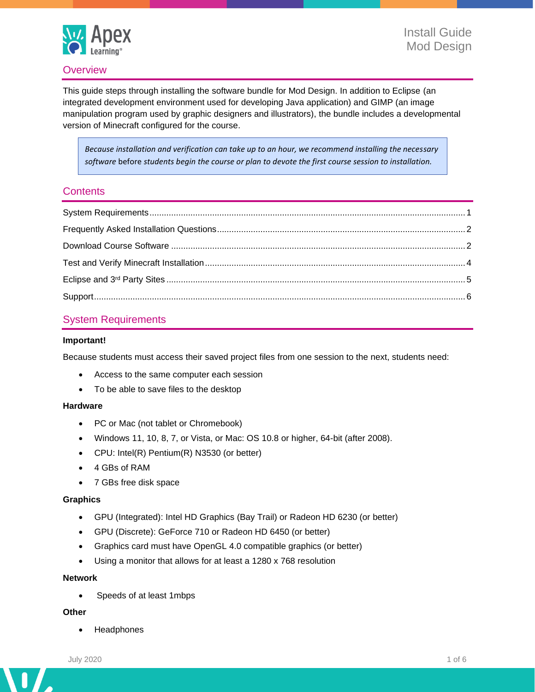

### **Overview**

This guide steps through installing the software bundle for Mod Design. In addition to Eclipse (an integrated development environment used for developing Java application) and GIMP (an image manipulation program used by graphic designers and illustrators), the bundle includes a developmental version of Minecraft configured for the course.

*Because installation and verification can take up to an hour, we recommend installing the necessary software* before *students begin the course or plan to devote the first course session to installation.*

### **Contents**

# <span id="page-0-0"></span>System Requirements

#### **Important!**

Because students must access their saved project files from one session to the next, students need:

- Access to the same computer each session
- To be able to save files to the desktop

#### **Hardware**

- PC or Mac (not tablet or Chromebook)
- Windows 11, 10, 8, 7, or Vista, or Mac: OS 10.8 or higher, 64-bit (after 2008).
- CPU: Intel(R) Pentium(R) N3530 (or better)
- 4 GBs of RAM
- 7 GBs free disk space

#### **Graphics**

- GPU (Integrated): Intel HD Graphics (Bay Trail) or Radeon HD 6230 (or better)
- GPU (Discrete): GeForce 710 or Radeon HD 6450 (or better)
- Graphics card must have OpenGL 4.0 compatible graphics (or better)
- Using a monitor that allows for at least a 1280 x 768 resolution

#### **Network**

• Speeds of at least 1mbps

#### **Other**

**Headphones** 

n

 $\overline{\phantom{a}}$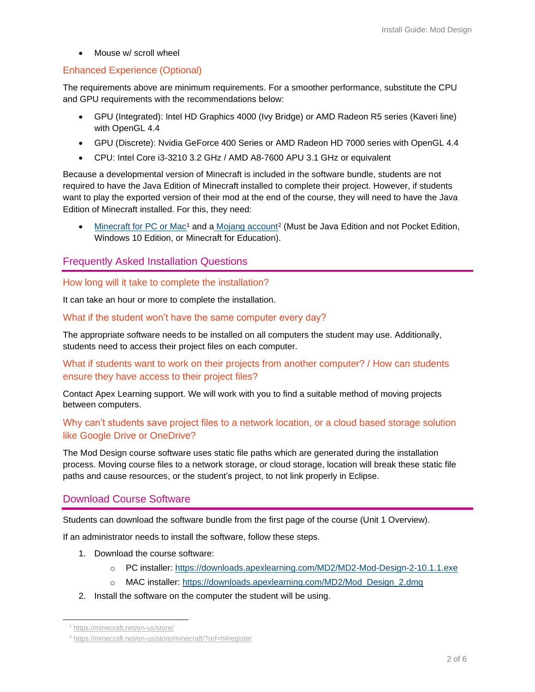• Mouse w/ scroll wheel

# Enhanced Experience (Optional)

The requirements above are minimum requirements. For a smoother performance, substitute the CPU and GPU requirements with the recommendations below:

- GPU (Integrated): Intel HD Graphics 4000 (Ivy Bridge) or AMD Radeon R5 series (Kaveri line) with OpenGL 4.4
- GPU (Discrete): Nvidia GeForce 400 Series or AMD Radeon HD 7000 series with OpenGL 4.4
- CPU: Intel Core i3-3210 3.2 GHz / AMD A8-7600 APU 3.1 GHz or equivalent

Because a developmental version of Minecraft is included in the software bundle, students are not required to have the Java Edition of Minecraft installed to complete their project. However, if students want to play the exported version of their mod at the end of the course, they will need to have the Java Edition of Minecraft installed. For this, they need:

• [Minecraft for PC or Mac](https://minecraft.net/en-us/store/)<sup>1</sup> and a [Mojang account](https://www.minecraft.net/en-us/login)<sup>2</sup> (Must be Java Edition and not Pocket Edition, Windows 10 Edition, or Minecraft for Education).

## <span id="page-1-0"></span>Frequently Asked Installation Questions

### How long will it take to complete the installation?

It can take an hour or more to complete the installation.

### What if the student won't have the same computer every day?

The appropriate software needs to be installed on all computers the student may use. Additionally, students need to access their project files on each computer.

### What if students want to work on their projects from another computer? / How can students ensure they have access to their project files?

Contact Apex Learning support. We will work with you to find a suitable method of moving projects between computers.

## Why can't students save project files to a network location, or a cloud based storage solution like Google Drive or OneDrive?

The Mod Design course software uses static file paths which are generated during the installation process. Moving course files to a network storage, or cloud storage, location will break these static file paths and cause resources, or the student's project, to not link properly in Eclipse.

# <span id="page-1-1"></span>Download Course Software

Students can download the software bundle from the first page of the course (Unit 1 Overview).

If an administrator needs to install the software, follow these steps.

- 1. Download the course software:
	- o PC installer:<https://downloads.apexlearning.com/MD2/MD2-Mod-Design-2-10.1.1.exe>
	- o MAC installer: [https://downloads.apexlearning.com/MD2/Mod\\_Design\\_2.dmg](https://downloads.apexlearning.com/MD2/Mod_Design_2.dmg)
- 2. Install the software on the computer the student will be using.

<sup>1</sup> <https://minecraft.net/en-us/store/>

<sup>2</sup> <https://minecraft.net/en-us/store/minecraft/?ref=h#register>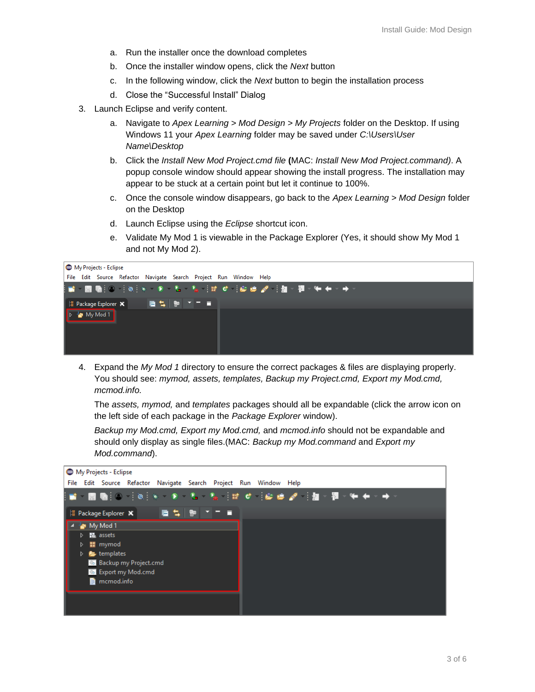- a. Run the installer once the download completes
- b. Once the installer window opens, click the *Next* button
- c. In the following window, click the *Next* button to begin the installation process
- d. Close the "Successful Install" Dialog
- 3. Launch Eclipse and verify content.
	- a. Navigate to *Apex Learning > Mod Design > My Projects* folder on the Desktop. If using Windows 11 your *Apex Learning* folder may be saved under *C:\Users\User Name\Desktop*
	- b. Click the *Install New Mod Project.cmd file* **(**MAC: *Install New Mod Project.command)*. A popup console window should appear showing the install progress. The installation may appear to be stuck at a certain point but let it continue to 100%.
	- c. Once the console window disappears, go back to the *Apex Learning > Mod Design* folder on the Desktop
	- d. Launch Eclipse using the *Eclipse* shortcut icon.
	- e. Validate My Mod 1 is viewable in the Package Explorer (Yes, it should show My Mod 1 and not My Mod 2).

| My Projects - Eclipse                                                |  |  |  |
|----------------------------------------------------------------------|--|--|--|
| File Edit Source Refactor Navigate Search Project Run Window Help    |  |  |  |
| ░▆▕█▐▓░░░░░░░▝▖▚░▚░░░░▘░▆ <i>▅▗</i> ▘░▓░▓░▓▖ <sub></sub> <sub></sub> |  |  |  |
| - 『唐 梨   朝   千   三<br>  话 Package Explorer ※                         |  |  |  |
| $\blacktriangleright$ $\blacktriangleleft$ My Mod 1                  |  |  |  |

4. Expand the *My Mod 1* directory to ensure the correct packages & files are displaying properly. You should see: *mymod, assets, templates, Backup my Project.cmd, Export my Mod.cmd, mcmod.info.* 

The *assets, mymod,* and *templates* packages should all be expandable (click the arrow icon on the left side of each package in the *Package Explorer* window).

*Backup my Mod.cmd, Export my Mod.cmd,* and *mcmod.info* should not be expandable and should only display as single files.(MAC: *Backup my Mod.command* and *Export my Mod.command*).

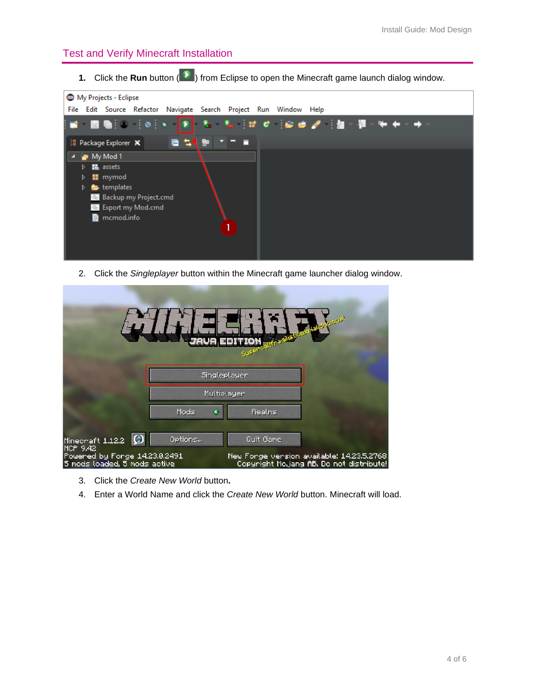## <span id="page-3-0"></span>Test and Verify Minecraft Installation

**1.** Click the **Run** button (**D**) from Eclipse to open the Minecraft game launch dialog window.



2. Click the *Singleplayer* button within the Minecraft game launcher dialog window.

| SUF                                                                |            |                                                        |  |  |
|--------------------------------------------------------------------|------------|--------------------------------------------------------|--|--|
|                                                                    |            | Singleplayer                                           |  |  |
|                                                                    |            | Multiplayer                                            |  |  |
|                                                                    | Mods<br>G. | <b>Realns</b>                                          |  |  |
| G<br>Minecraft 1.12.2<br>MCP 9.42<br>Powered by Forge 14.23.0.2491 | Options    | Quit Game<br>New Fonge vension available: 14.23.5.2768 |  |  |
| 5 mods loaded, 5 mods active                                       |            | Copyright Mojang AB. Do not distribute!                |  |  |

- 3. Click the *Create New World* button**.**
- 4. Enter a World Name and click the *Create New World* button. Minecraft will load.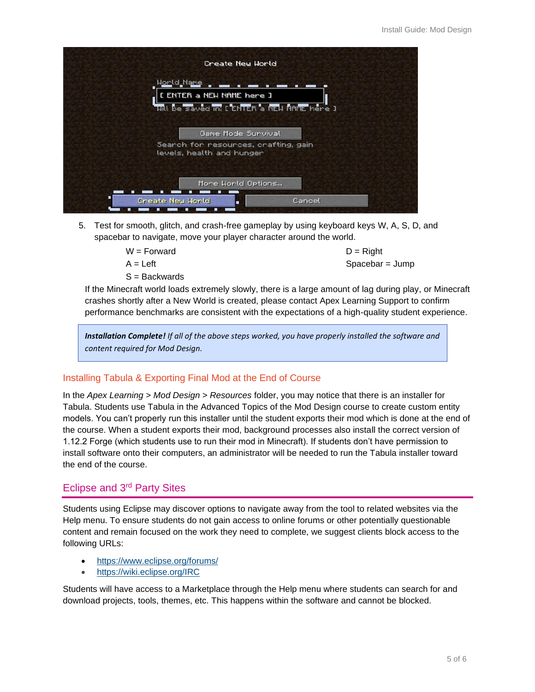| Create New World                                                                              |
|-----------------------------------------------------------------------------------------------|
| <b>World Name</b><br>[ ENTER a NEW NAME here ]<br>uill be saved in: [ ENTER a NEW NAME here ] |
| Game Mode Sunvival<br>Search for resources, crafting, gain<br>levels, health and hunger       |
| Mone World Options<br>г<br>Create New World<br>Cancel<br>п                                    |

5. Test for smooth, glitch, and crash-free gameplay by using keyboard keys W, A, S, D, and spacebar to navigate, move your player character around the world.

 $W =$ Forward

 $A = I$  eft

S = Backwards

 $D =$ Right Spacebar = Jump

If the Minecraft world loads extremely slowly, there is a large amount of lag during play, or Minecraft crashes shortly after a New World is created, please contact Apex Learning Support to confirm performance benchmarks are consistent with the expectations of a high-quality student experience.

*Installation Complete! If all of the above steps worked, you have properly installed the software and content required for Mod Design.*

## Installing Tabula & Exporting Final Mod at the End of Course

In the *Apex Learning > Mod Design > Resources* folder, you may notice that there is an installer for Tabula. Students use Tabula in the Advanced Topics of the Mod Design course to create custom entity models. You can't properly run this installer until the student exports their mod which is done at the end of the course. When a student exports their mod, background processes also install the correct version of 1.12.2 Forge (which students use to run their mod in Minecraft). If students don't have permission to install software onto their computers, an administrator will be needed to run the Tabula installer toward the end of the course.

# <span id="page-4-0"></span>Eclipse and 3rd Party Sites

Students using Eclipse may discover options to navigate away from the tool to related websites via the Help menu. To ensure students do not gain access to online forums or other potentially questionable content and remain focused on the work they need to complete, we suggest clients block access to the following URLs:

- <https://www.eclipse.org/forums/>
- <https://wiki.eclipse.org/IRC>

Students will have access to a Marketplace through the Help menu where students can search for and download projects, tools, themes, etc. This happens within the software and cannot be blocked.